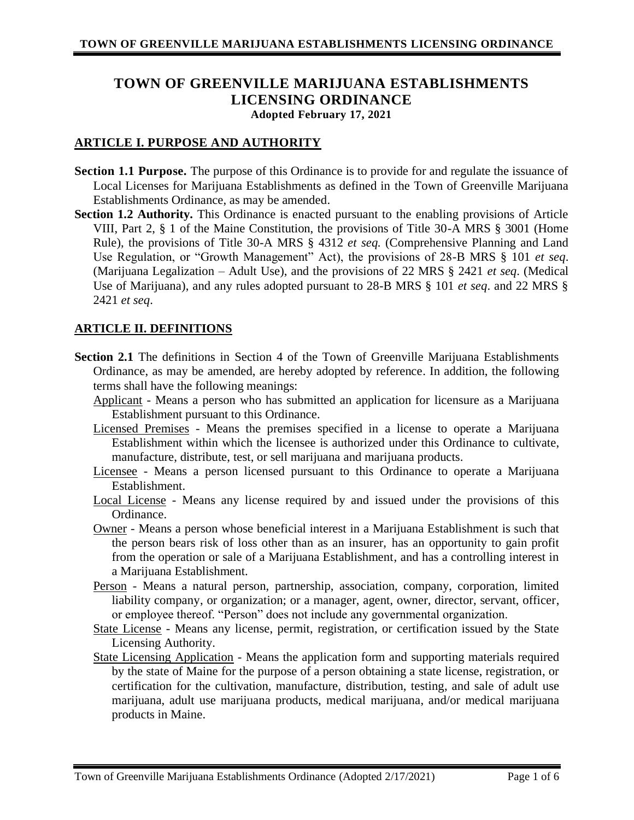# **TOWN OF GREENVILLE MARIJUANA ESTABLISHMENTS LICENSING ORDINANCE Adopted February 17, 2021**

# **ARTICLE I. PURPOSE AND AUTHORITY**

- **Section 1.1 Purpose.** The purpose of this Ordinance is to provide for and regulate the issuance of Local Licenses for Marijuana Establishments as defined in the Town of Greenville Marijuana Establishments Ordinance, as may be amended.
- **Section 1.2 Authority.** This Ordinance is enacted pursuant to the enabling provisions of Article VIII, Part 2, § 1 of the Maine Constitution, the provisions of Title 30-A MRS § 3001 (Home Rule), the provisions of Title 30-A MRS § 4312 *et seq.* (Comprehensive Planning and Land Use Regulation, or "Growth Management" Act), the provisions of 28-B MRS § 101 *et seq*. (Marijuana Legalization – Adult Use), and the provisions of 22 MRS § 2421 *et seq*. (Medical Use of Marijuana), and any rules adopted pursuant to 28-B MRS § 101 *et seq*. and 22 MRS § 2421 *et seq*.

# **ARTICLE II. DEFINITIONS**

- **Section 2.1** The definitions in Section 4 of the Town of Greenville Marijuana Establishments Ordinance, as may be amended, are hereby adopted by reference. In addition, the following terms shall have the following meanings:
	- Applicant Means a person who has submitted an application for licensure as a Marijuana Establishment pursuant to this Ordinance.
	- Licensed Premises Means the premises specified in a license to operate a Marijuana Establishment within which the licensee is authorized under this Ordinance to cultivate, manufacture, distribute, test, or sell marijuana and marijuana products.
	- Licensee Means a person licensed pursuant to this Ordinance to operate a Marijuana Establishment.
	- Local License Means any license required by and issued under the provisions of this Ordinance.
	- Owner Means a person whose beneficial interest in a Marijuana Establishment is such that the person bears risk of loss other than as an insurer, has an opportunity to gain profit from the operation or sale of a Marijuana Establishment, and has a controlling interest in a Marijuana Establishment.
	- Person Means a natural person, partnership, association, company, corporation, limited liability company, or organization; or a manager, agent, owner, director, servant, officer, or employee thereof. "Person" does not include any governmental organization.
	- State License Means any license, permit, registration, or certification issued by the State Licensing Authority.
	- State Licensing Application Means the application form and supporting materials required by the state of Maine for the purpose of a person obtaining a state license, registration, or certification for the cultivation, manufacture, distribution, testing, and sale of adult use marijuana, adult use marijuana products, medical marijuana, and/or medical marijuana products in Maine.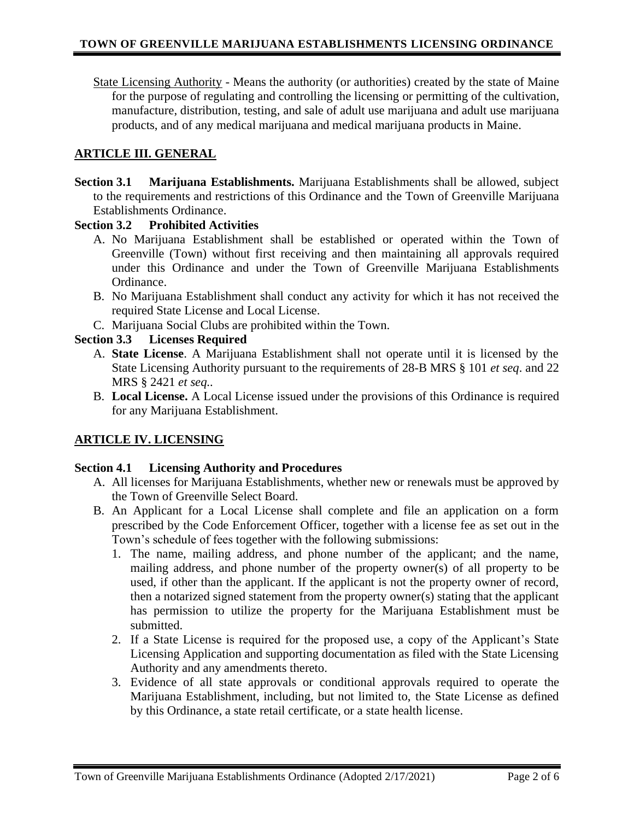State Licensing Authority - Means the authority (or authorities) created by the state of Maine for the purpose of regulating and controlling the licensing or permitting of the cultivation, manufacture, distribution, testing, and sale of adult use marijuana and adult use marijuana products, and of any medical marijuana and medical marijuana products in Maine.

### **ARTICLE III. GENERAL**

**Section 3.1 Marijuana Establishments.** Marijuana Establishments shall be allowed, subject to the requirements and restrictions of this Ordinance and the Town of Greenville Marijuana Establishments Ordinance.

### **Section 3.2 Prohibited Activities**

- A. No Marijuana Establishment shall be established or operated within the Town of Greenville (Town) without first receiving and then maintaining all approvals required under this Ordinance and under the Town of Greenville Marijuana Establishments Ordinance.
- B. No Marijuana Establishment shall conduct any activity for which it has not received the required State License and Local License.
- C. Marijuana Social Clubs are prohibited within the Town.

### **Section 3.3 Licenses Required**

- A. **State License**. A Marijuana Establishment shall not operate until it is licensed by the State Licensing Authority pursuant to the requirements of 28-B MRS § 101 *et seq*. and 22 MRS § 2421 *et seq..*
- B. **Local License.** A Local License issued under the provisions of this Ordinance is required for any Marijuana Establishment.

# **ARTICLE IV. LICENSING**

#### **Section 4.1 Licensing Authority and Procedures**

- A. All licenses for Marijuana Establishments, whether new or renewals must be approved by the Town of Greenville Select Board.
- B. An Applicant for a Local License shall complete and file an application on a form prescribed by the Code Enforcement Officer, together with a license fee as set out in the Town's schedule of fees together with the following submissions:
	- 1. The name, mailing address, and phone number of the applicant; and the name, mailing address, and phone number of the property owner(s) of all property to be used, if other than the applicant. If the applicant is not the property owner of record, then a notarized signed statement from the property owner(s) stating that the applicant has permission to utilize the property for the Marijuana Establishment must be submitted.
	- 2. If a State License is required for the proposed use, a copy of the Applicant's State Licensing Application and supporting documentation as filed with the State Licensing Authority and any amendments thereto.
	- 3. Evidence of all state approvals or conditional approvals required to operate the Marijuana Establishment, including, but not limited to, the State License as defined by this Ordinance, a state retail certificate, or a state health license.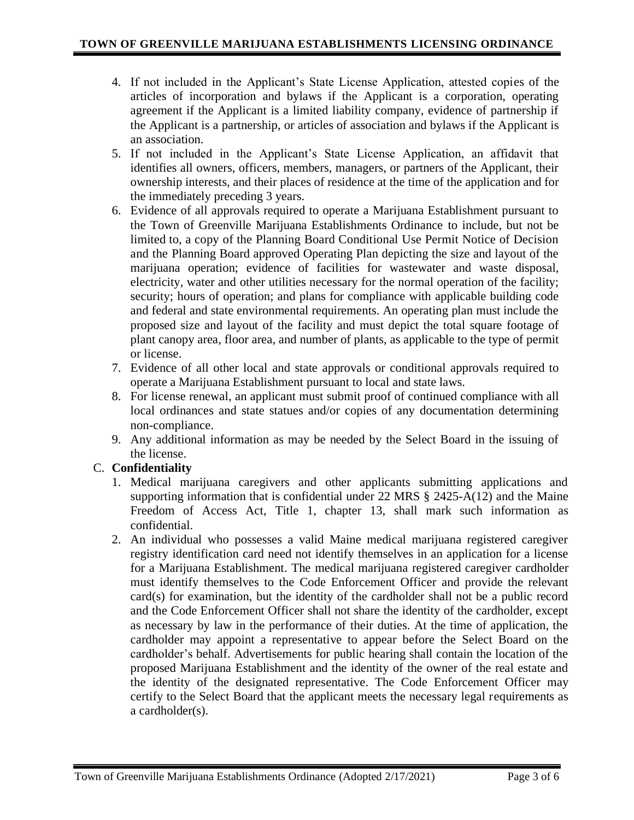- 4. If not included in the Applicant's State License Application, attested copies of the articles of incorporation and bylaws if the Applicant is a corporation, operating agreement if the Applicant is a limited liability company, evidence of partnership if the Applicant is a partnership, or articles of association and bylaws if the Applicant is an association.
- 5. If not included in the Applicant's State License Application, an affidavit that identifies all owners, officers, members, managers, or partners of the Applicant, their ownership interests, and their places of residence at the time of the application and for the immediately preceding 3 years.
- 6. Evidence of all approvals required to operate a Marijuana Establishment pursuant to the Town of Greenville Marijuana Establishments Ordinance to include, but not be limited to, a copy of the Planning Board Conditional Use Permit Notice of Decision and the Planning Board approved Operating Plan depicting the size and layout of the marijuana operation; evidence of facilities for wastewater and waste disposal, electricity, water and other utilities necessary for the normal operation of the facility; security; hours of operation; and plans for compliance with applicable building code and federal and state environmental requirements. An operating plan must include the proposed size and layout of the facility and must depict the total square footage of plant canopy area, floor area, and number of plants, as applicable to the type of permit or license.
- 7. Evidence of all other local and state approvals or conditional approvals required to operate a Marijuana Establishment pursuant to local and state laws.
- 8. For license renewal, an applicant must submit proof of continued compliance with all local ordinances and state statues and/or copies of any documentation determining non-compliance.
- 9. Any additional information as may be needed by the Select Board in the issuing of the license.

# C. **Confidentiality**

- 1. Medical marijuana caregivers and other applicants submitting applications and supporting information that is confidential under 22 MRS  $\S$  2425-A(12) and the Maine Freedom of Access Act, Title 1, chapter 13, shall mark such information as confidential.
- 2. An individual who possesses a valid Maine medical marijuana registered caregiver registry identification card need not identify themselves in an application for a license for a Marijuana Establishment. The medical marijuana registered caregiver cardholder must identify themselves to the Code Enforcement Officer and provide the relevant card(s) for examination, but the identity of the cardholder shall not be a public record and the Code Enforcement Officer shall not share the identity of the cardholder, except as necessary by law in the performance of their duties. At the time of application, the cardholder may appoint a representative to appear before the Select Board on the cardholder's behalf. Advertisements for public hearing shall contain the location of the proposed Marijuana Establishment and the identity of the owner of the real estate and the identity of the designated representative. The Code Enforcement Officer may certify to the Select Board that the applicant meets the necessary legal requirements as a cardholder(s).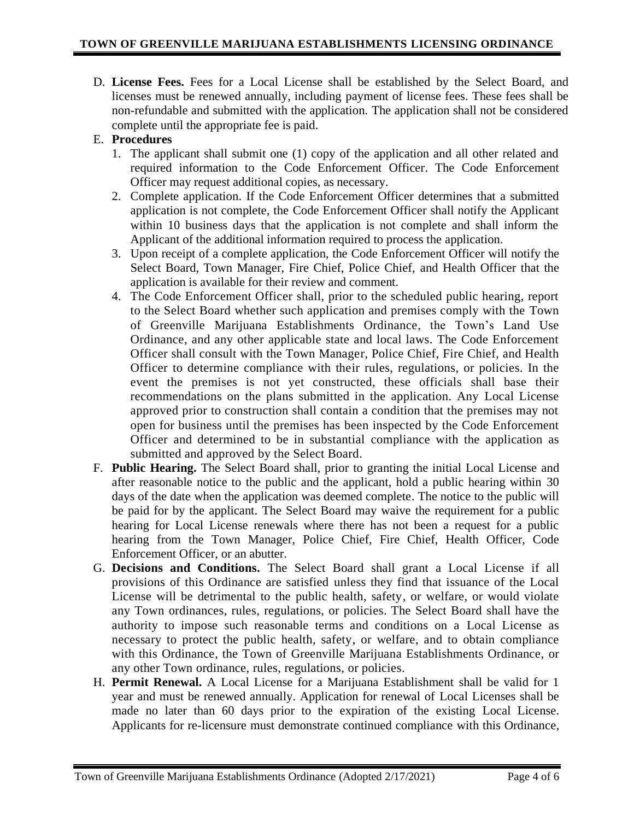D. **License Fees.** Fees for a Local License shall be established by the Select Board, and licenses must be renewed annually, including payment of license fees. These fees shall be non-refundable and submitted with the application. The application shall not be considered complete until the appropriate fee is paid.

# E. **Procedures**

- 1. The applicant shall submit one (1) copy of the application and all other related and required information to the Code Enforcement Officer. The Code Enforcement Officer may request additional copies, as necessary.
- 2. Complete application. If the Code Enforcement Officer determines that a submitted application is not complete, the Code Enforcement Officer shall notify the Applicant within 10 business days that the application is not complete and shall inform the Applicant of the additional information required to process the application.
- 3. Upon receipt of a complete application, the Code Enforcement Officer will notify the Select Board, Town Manager, Fire Chief, Police Chief, and Health Officer that the application is available for their review and comment.
- 4. The Code Enforcement Officer shall, prior to the scheduled public hearing, report to the Select Board whether such application and premises comply with the Town of Greenville Marijuana Establishments Ordinance, the Town's Land Use Ordinance, and any other applicable state and local laws. The Code Enforcement Officer shall consult with the Town Manager, Police Chief, Fire Chief, and Health Officer to determine compliance with their rules, regulations, or policies. In the event the premises is not yet constructed, these officials shall base their recommendations on the plans submitted in the application. Any Local License approved prior to construction shall contain a condition that the premises may not open for business until the premises has been inspected by the Code Enforcement Officer and determined to be in substantial compliance with the application as submitted and approved by the Select Board.
- F. **Public Hearing.** The Select Board shall, prior to granting the initial Local License and after reasonable notice to the public and the applicant, hold a public hearing within 30 days of the date when the application was deemed complete. The notice to the public will be paid for by the applicant. The Select Board may waive the requirement for a public hearing for Local License renewals where there has not been a request for a public hearing from the Town Manager, Police Chief, Fire Chief, Health Officer, Code Enforcement Officer, or an abutter.
- G. **Decisions and Conditions.** The Select Board shall grant a Local License if all provisions of this Ordinance are satisfied unless they find that issuance of the Local License will be detrimental to the public health, safety, or welfare, or would violate any Town ordinances, rules, regulations, or policies. The Select Board shall have the authority to impose such reasonable terms and conditions on a Local License as necessary to protect the public health, safety, or welfare, and to obtain compliance with this Ordinance, the Town of Greenville Marijuana Establishments Ordinance, or any other Town ordinance, rules, regulations, or policies.
- H. **Permit Renewal.** A Local License for a Marijuana Establishment shall be valid for 1 year and must be renewed annually. Application for renewal of Local Licenses shall be made no later than 60 days prior to the expiration of the existing Local License. Applicants for re-licensure must demonstrate continued compliance with this Ordinance,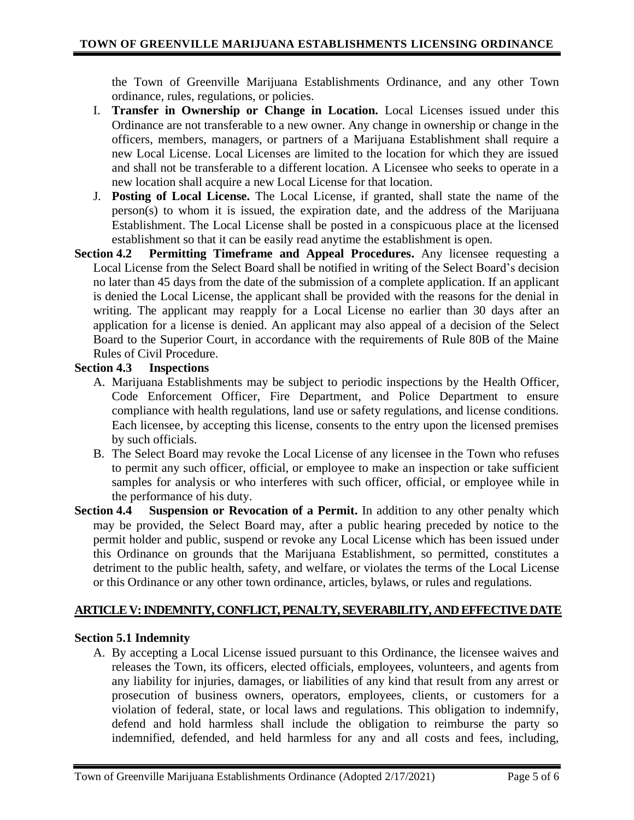the Town of Greenville Marijuana Establishments Ordinance, and any other Town ordinance, rules, regulations, or policies.

- I. **Transfer in Ownership or Change in Location.** Local Licenses issued under this Ordinance are not transferable to a new owner. Any change in ownership or change in the officers, members, managers, or partners of a Marijuana Establishment shall require a new Local License. Local Licenses are limited to the location for which they are issued and shall not be transferable to a different location. A Licensee who seeks to operate in a new location shall acquire a new Local License for that location.
- J. **Posting of Local License.** The Local License, if granted, shall state the name of the person(s) to whom it is issued, the expiration date, and the address of the Marijuana Establishment. The Local License shall be posted in a conspicuous place at the licensed establishment so that it can be easily read anytime the establishment is open.
- **Section 4.2 Permitting Timeframe and Appeal Procedures.** Any licensee requesting a Local License from the Select Board shall be notified in writing of the Select Board's decision no later than 45 days from the date of the submission of a complete application. If an applicant is denied the Local License, the applicant shall be provided with the reasons for the denial in writing. The applicant may reapply for a Local License no earlier than 30 days after an application for a license is denied. An applicant may also appeal of a decision of the Select Board to the Superior Court, in accordance with the requirements of Rule 80B of the Maine Rules of Civil Procedure.

### **Section 4.3 Inspections**

- A. Marijuana Establishments may be subject to periodic inspections by the Health Officer, Code Enforcement Officer, Fire Department, and Police Department to ensure compliance with health regulations, land use or safety regulations, and license conditions. Each licensee, by accepting this license, consents to the entry upon the licensed premises by such officials.
- B. The Select Board may revoke the Local License of any licensee in the Town who refuses to permit any such officer, official, or employee to make an inspection or take sufficient samples for analysis or who interferes with such officer, official, or employee while in the performance of his duty.
- **Section 4.4 Suspension or Revocation of a Permit.** In addition to any other penalty which may be provided, the Select Board may, after a public hearing preceded by notice to the permit holder and public, suspend or revoke any Local License which has been issued under this Ordinance on grounds that the Marijuana Establishment, so permitted, constitutes a detriment to the public health, safety, and welfare, or violates the terms of the Local License or this Ordinance or any other town ordinance, articles, bylaws, or rules and regulations.

# **ARTICLE V: INDEMNITY, CONFLICT, PENALTY, SEVERABILITY, AND EFFECTIVE DATE**

#### **Section 5.1 Indemnity**

A. By accepting a Local License issued pursuant to this Ordinance, the licensee waives and releases the Town, its officers, elected officials, employees, volunteers, and agents from any liability for injuries, damages, or liabilities of any kind that result from any arrest or prosecution of business owners, operators, employees, clients, or customers for a violation of federal, state, or local laws and regulations. This obligation to indemnify, defend and hold harmless shall include the obligation to reimburse the party so indemnified, defended, and held harmless for any and all costs and fees, including,